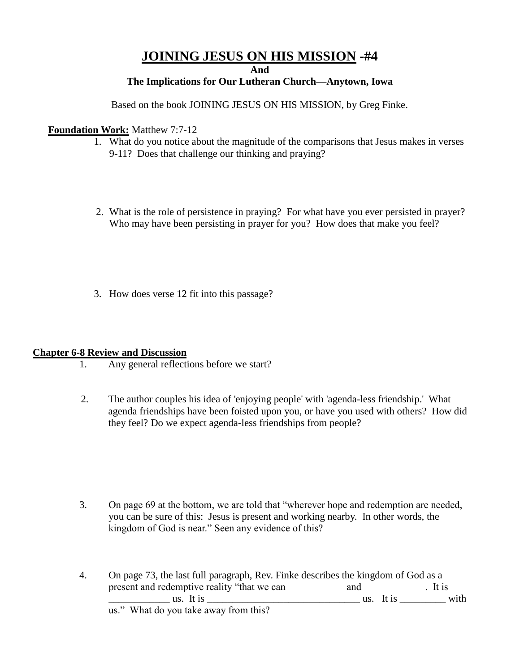# **JOINING JESUS ON HIS MISSION -#4**

**And**

### **The Implications for Our Lutheran Church—Anytown, Iowa**

Based on the book JOINING JESUS ON HIS MISSION, by Greg Finke.

#### **Foundation Work:** Matthew 7:7-12

- 1. What do you notice about the magnitude of the comparisons that Jesus makes in verses 9-11? Does that challenge our thinking and praying?
- 2. What is the role of persistence in praying? For what have you ever persisted in prayer? Who may have been persisting in prayer for you? How does that make you feel?
- 3. How does verse 12 fit into this passage?

#### **Chapter 6-8 Review and Discussion**

- 1. Any general reflections before we start?
- 2. The author couples his idea of 'enjoying people' with 'agenda-less friendship.' What agenda friendships have been foisted upon you, or have you used with others? How did they feel? Do we expect agenda-less friendships from people?

3. On page 69 at the bottom, we are told that "wherever hope and redemption are needed, you can be sure of this: Jesus is present and working nearby. In other words, the kingdom of God is near." Seen any evidence of this?

4. On page 73, the last full paragraph, Rev. Finke describes the kingdom of God as a present and redemptive reality "that we can and  $\qquad$ . It is  $\Box$  us. It is  $\Box$  us. It is  $\Box$  with us." What do you take away from this?